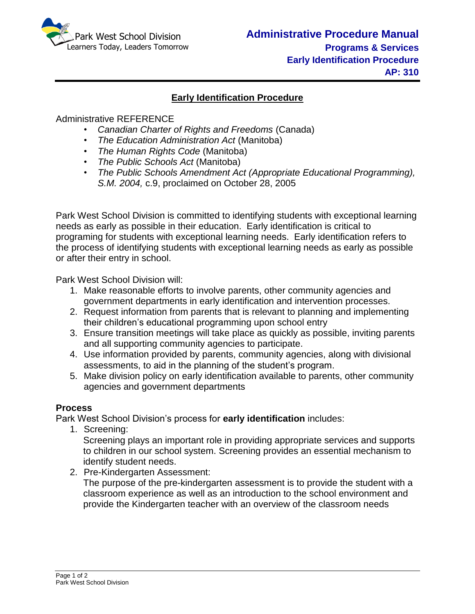

## **Early Identification Procedure**

## Administrative REFERENCE

- *Canadian Charter of Rights and Freedoms* (Canada)
- *The Education Administration Act* (Manitoba)
- *The Human Rights Code* (Manitoba)
- *The Public Schools Act* (Manitoba)
- *The Public Schools Amendment Act (Appropriate Educational Programming), S.M. 2004,* c.9, proclaimed on October 28, 2005

Park West School Division is committed to identifying students with exceptional learning needs as early as possible in their education. Early identification is critical to programing for students with exceptional learning needs. Early identification refers to the process of identifying students with exceptional learning needs as early as possible or after their entry in school.

Park West School Division will:

- 1. Make reasonable efforts to involve parents, other community agencies and government departments in early identification and intervention processes.
- 2. Request information from parents that is relevant to planning and implementing their children's educational programming upon school entry
- 3. Ensure transition meetings will take place as quickly as possible, inviting parents and all supporting community agencies to participate.
- 4. Use information provided by parents, community agencies, along with divisional assessments, to aid in the planning of the student's program.
- 5. Make division policy on early identification available to parents, other community agencies and government departments

## **Process**

Park West School Division's process for **early identification** includes:

1. Screening:

Screening plays an important role in providing appropriate services and supports to children in our school system. Screening provides an essential mechanism to identify student needs.

2. Pre-Kindergarten Assessment:

The purpose of the pre-kindergarten assessment is to provide the student with a classroom experience as well as an introduction to the school environment and provide the Kindergarten teacher with an overview of the classroom needs